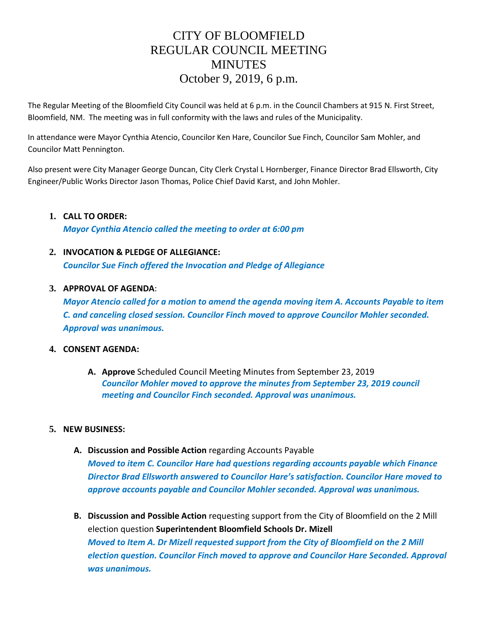# CITY OF BLOOMFIELD REGULAR COUNCIL MEETING **MINUTES** October 9, 2019, 6 p.m.

The Regular Meeting of the Bloomfield City Council was held at 6 p.m. in the Council Chambers at 915 N. First Street, Bloomfield, NM. The meeting was in full conformity with the laws and rules of the Municipality.

In attendance were Mayor Cynthia Atencio, Councilor Ken Hare, Councilor Sue Finch, Councilor Sam Mohler, and Councilor Matt Pennington.

Also present were City Manager George Duncan, City Clerk Crystal L Hornberger, Finance Director Brad Ellsworth, City Engineer/Public Works Director Jason Thomas, Police Chief David Karst, and John Mohler.

### **1. CALL TO ORDER:**

*Mayor Cynthia Atencio called the meeting to order at 6:00 pm*

# **2. INVOCATION & PLEDGE OF ALLEGIANCE:**

*Councilor Sue Finch offered the Invocation and Pledge of Allegiance*

#### **3. APPROVAL OF AGENDA**:

*Mayor Atencio called for a motion to amend the agenda moving item A. Accounts Payable to item C. and canceling closed session. Councilor Finch moved to approve Councilor Mohler seconded. Approval was unanimous.*

#### **4. CONSENT AGENDA:**

**A. Approve** Scheduled Council Meeting Minutes from September 23, 2019 *Councilor Mohler moved to approve the minutes from September 23, 2019 council meeting and Councilor Finch seconded. Approval was unanimous.*

#### **5. NEW BUSINESS:**

**A. Discussion and Possible Action** regarding Accounts Payable

*Moved to item C. Councilor Hare had questions regarding accounts payable which Finance Director Brad Ellsworth answered to Councilor Hare's satisfaction. Councilor Hare moved to approve accounts payable and Councilor Mohler seconded. Approval was unanimous.* 

**B. Discussion and Possible Action** requesting support from the City of Bloomfield on the 2 Mill election question **Superintendent Bloomfield Schools Dr. Mizell** *Moved to Item A. Dr Mizell requested support from the City of Bloomfield on the 2 Mill election question. Councilor Finch moved to approve and Councilor Hare Seconded. Approval was unanimous.*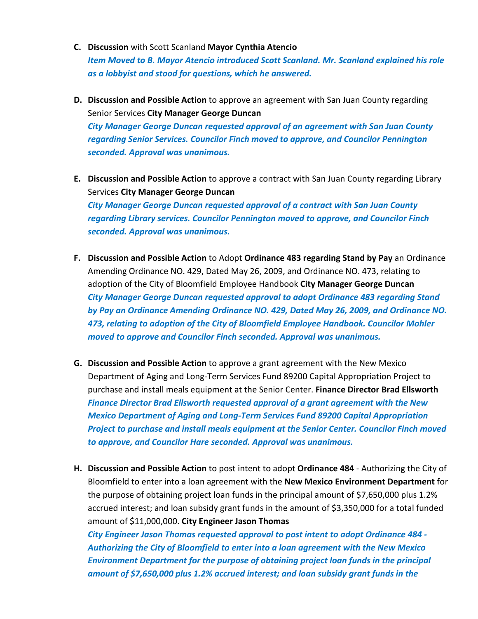- **C. Discussion** with Scott Scanland **Mayor Cynthia Atencio** *Item Moved to B. Mayor Atencio introduced Scott Scanland. Mr. Scanland explained his role as a lobbyist and stood for questions, which he answered.*
- **D. Discussion and Possible Action** to approve an agreement with San Juan County regarding Senior Services **City Manager George Duncan** *City Manager George Duncan requested approval of an agreement with San Juan County regarding Senior Services. Councilor Finch moved to approve, and Councilor Pennington seconded. Approval was unanimous.*
- **E. Discussion and Possible Action** to approve a contract with San Juan County regarding Library Services **City Manager George Duncan** *City Manager George Duncan requested approval of a contract with San Juan County regarding Library services. Councilor Pennington moved to approve, and Councilor Finch seconded. Approval was unanimous.*
- **F. Discussion and Possible Action** to Adopt **Ordinance 483 regarding Stand by Pay** an Ordinance Amending Ordinance NO. 429, Dated May 26, 2009, and Ordinance NO. 473, relating to adoption of the City of Bloomfield Employee Handbook **City Manager George Duncan** *City Manager George Duncan requested approval to adopt Ordinance 483 regarding Stand by Pay an Ordinance Amending Ordinance NO. 429, Dated May 26, 2009, and Ordinance NO. 473, relating to adoption of the City of Bloomfield Employee Handbook. Councilor Mohler moved to approve and Councilor Finch seconded. Approval was unanimous.*
- **G. Discussion and Possible Action** to approve a grant agreement with the New Mexico Department of Aging and Long-Term Services Fund 89200 Capital Appropriation Project to purchase and install meals equipment at the Senior Center. **Finance Director Brad Ellsworth** *Finance Director Brad Ellsworth requested approval of a grant agreement with the New Mexico Department of Aging and Long-Term Services Fund 89200 Capital Appropriation Project to purchase and install meals equipment at the Senior Center. Councilor Finch moved to approve, and Councilor Hare seconded. Approval was unanimous.*
- **H. Discussion and Possible Action** to post intent to adopt **Ordinance 484** Authorizing the City of Bloomfield to enter into a loan agreement with the **New Mexico Environment Department** for the purpose of obtaining project loan funds in the principal amount of \$7,650,000 plus 1.2% accrued interest; and loan subsidy grant funds in the amount of \$3,350,000 for a total funded amount of \$11,000,000. **City Engineer Jason Thomas**

*City Engineer Jason Thomas requested approval to post intent to adopt Ordinance 484 - Authorizing the City of Bloomfield to enter into a loan agreement with the New Mexico Environment Department for the purpose of obtaining project loan funds in the principal amount of \$7,650,000 plus 1.2% accrued interest; and loan subsidy grant funds in the*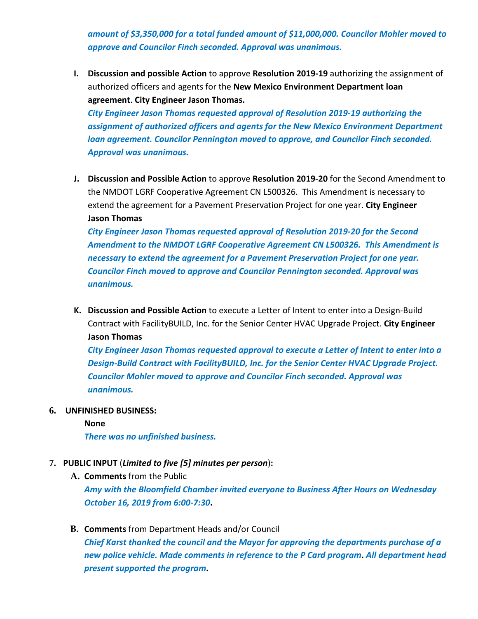*amount of \$3,350,000 for a total funded amount of \$11,000,000. Councilor Mohler moved to approve and Councilor Finch seconded. Approval was unanimous.* 

**I. Discussion and possible Action** to approve **Resolution 2019-19** authorizing the assignment of authorized officers and agents for the **New Mexico Environment Department loan agreement**. **City Engineer Jason Thomas.**

*City Engineer Jason Thomas requested approval of Resolution 2019-19 authorizing the assignment of authorized officers and agents for the New Mexico Environment Department loan agreement. Councilor Pennington moved to approve, and Councilor Finch seconded. Approval was unanimous.*

**J. Discussion and Possible Action** to approve **Resolution 2019-20** for the Second Amendment to the NMDOT LGRF Cooperative Agreement CN L500326. This Amendment is necessary to extend the agreement for a Pavement Preservation Project for one year. **City Engineer Jason Thomas**

*City Engineer Jason Thomas requested approval of Resolution 2019-20 for the Second Amendment to the NMDOT LGRF Cooperative Agreement CN L500326. This Amendment is necessary to extend the agreement for a Pavement Preservation Project for one year. Councilor Finch moved to approve and Councilor Pennington seconded. Approval was unanimous.* 

**K. Discussion and Possible Action** to execute a Letter of Intent to enter into a Design-Build Contract with FacilityBUILD, Inc. for the Senior Center HVAC Upgrade Project. **City Engineer Jason Thomas**

*City Engineer Jason Thomas requested approval to execute a Letter of Intent to enter into a Design-Build Contract with FacilityBUILD, Inc. for the Senior Center HVAC Upgrade Project. Councilor Mohler moved to approve and Councilor Finch seconded. Approval was unanimous.*

- **6. UNFINISHED BUSINESS:** 
	- **None**

*There was no unfinished business.* 

- **7. PUBLIC INPUT** (*Limited to five [5] minutes per person*)**:**
	- **A. Comments** from the Public *Amy with the Bloomfield Chamber invited everyone to Business After Hours on Wednesday October 16, 2019 from 6:00-7:30***.**
	- **B. Comments** from Department Heads and/or Council *Chief Karst thanked the council and the Mayor for approving the departments purchase of a new police vehicle. Made comments in reference to the P Card program***.** *All department head present supported the program***.**